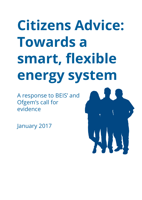# **Citizens Advice: Towards a** smart, flexible **energy system**

A response to BEIS' and Ofgem's call for evidence

January 2017

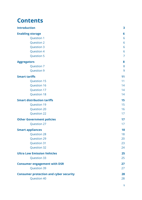### **Contents**

| <b>Introduction</b>                           | $\overline{\mathbf{3}}$ |
|-----------------------------------------------|-------------------------|
| <b>Enabling storage</b>                       | 6                       |
| <b>Question 1</b>                             | 6                       |
| <b>Question 2</b>                             | 6                       |
| <b>Question 3</b>                             | 6                       |
| <b>Question 4</b>                             | 6                       |
| <b>Question 5</b>                             | $\overline{7}$          |
| <b>Aggregators</b>                            | 8                       |
| <b>Question 7</b>                             | 8                       |
| <b>Question 9</b>                             | 9                       |
| <b>Smart tariffs</b>                          | 11                      |
| <b>Question 15</b>                            | 11                      |
| <b>Question 16</b>                            | 14                      |
| <b>Question 17</b>                            | 14                      |
| <b>Question 18</b>                            | 14                      |
| <b>Smart distribution tariffs</b>             | 15                      |
| <b>Question 19</b>                            | 15                      |
| <b>Question 20</b>                            | 16                      |
| <b>Question 22</b>                            | 17                      |
| <b>Other Government policies</b>              | 17                      |
| <b>Question 27</b>                            | 17                      |
| <b>Smart appliances</b>                       | 18                      |
| <b>Question 28</b>                            | 18                      |
| <b>Question 29</b>                            | 20                      |
| <b>Question 31</b>                            | 23                      |
| <b>Question 32</b>                            | 24                      |
| <b>Ultra Low Emission Vehicles</b>            | 25                      |
| <b>Question 33</b>                            | 25                      |
| <b>Consumer engagement with DSR</b>           | 27                      |
| <b>Question 39</b>                            | 27                      |
| <b>Consumer protection and cyber security</b> | 28                      |
| <b>Question 40</b>                            | 28                      |
|                                               |                         |

**1**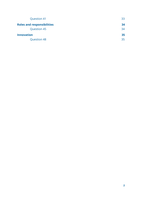| <b>Question 41</b>                | 33 |
|-----------------------------------|----|
| <b>Roles and responsibilities</b> | 34 |
| <b>Question 45</b>                | 34 |
| <b>Innovation</b>                 | 35 |
| <b>Question 48</b>                | 35 |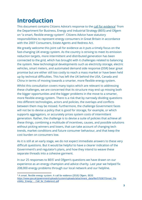# <span id="page-3-0"></span>**Introduction**

This document contains Citizens Advice's response to the [call for evidence](https://www.gov.uk/government/uploads/system/uploads/attachment_data/file/576367/Smart_Flexibility_Energy_-_Call_for_Evidence1.pdf)<sup>1</sup> from the Department for Business, Energy and Industrial Strategy (BEIS) and Ofgem on "a smart, flexible energy system". Citizens Advice have statutory responsibilities to represent energy consumers in Great Britain in accordance with the 2007 Consumers, Estate Agents and Redress Act.

We greatly welcome this joint call for evidence as it puts a timely focus on the fast-changing UK energy system. As the country is striving to meet its emission reduction targets, more intermittent and distributed generation has been connected to the grid, which has brought with it challenges related to balancing the system. New technological developments such as electricity storage, electric vehicles, smart meters, and automated demand side response (DSR) bear great promise but are either still too costly to reach a mass market or have been held up by technical difficulties. This has left the UK behind the USA, Canada and China in terms of moving towards a smarter, more flexible energy system.

Whilst this consultation covers many topics which are relevant to addressing these challenges, we are concerned that its structure may end up missing both the bigger opportunities and the bigger problems in the move to a smarter, more flexible energy system. There is a risk that by narrowly dividing questions into different technologies, actors and policies, the overlaps and conflicts between them may be missed. Furthermore, the challenge Government faces will not be to devise a policy that is good for storage, for example, or which supports aggregators, or accurately prices system costs of intermittent generation. Rather, the challenge is to devise a suite of policies that achieve all these things, combining a multitude of incentives, causes, and possible solutions without picking winners and losers, that can take account of changing tech trends, market conditions and future consumer behaviour, and that keep the cost burden on consumers low.

As it is still at an early stage, we do not expect immediate answers to these very difficult questions. But it would be helpful to have a clearer indication of the Government's and regulator's plans, and how they intend to weave these separate threads into a cohesive garment.

In our 25 responses to BEIS' and Ofgem's questions we have drawn on our experience as an energy champion and advice charity. Last year we helped fix 208,000 energy problems through our local network and our helpline.

<sup>&</sup>lt;sup>1</sup> A smart, flexible energy system: A call for evidence (2016) Ofgem, BEIS [https://www.gov.uk/government/uploads/system/uploads/attachment\\_data/file/576367/Smart\\_Fle](https://www.gov.uk/government/uploads/system/uploads/attachment_data/file/576367/Smart_Flexibility_Energy_-_Call_for_Evidence1.pdf) [xibility\\_Energy\\_-\\_Call\\_for\\_Evidence1.pdf](https://www.gov.uk/government/uploads/system/uploads/attachment_data/file/576367/Smart_Flexibility_Energy_-_Call_for_Evidence1.pdf)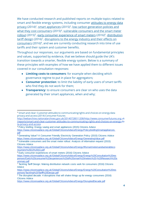We have conducted research and published reports on multiple topics related to smart and flexible energy systems, including consumer [attitudes to energy data](http://webarchive.nationalarchives.gov.uk/20140728011208/http://www.consumerfutures.org.uk/reports/smart-and-clear-customer-attitudes-to-communicating-rights-and-choices-on-energy-data-privacy-and-access) [privacy](http://webarchive.nationalarchives.gov.uk/20140728011208/http://www.consumerfutures.org.uk/reports/smart-and-clear-customer-attitudes-to-communicating-rights-and-choices-on-energy-data-privacy-and-access) (2014)<sup>2</sup>, [smart appliances](https://www.citizensadvice.org.uk/Global/CitizensAdvice/Energy/PolicybriefingSmartappliances.pdf) (2015)<sup>3</sup>, [low carbon generation policies and](https://www.citizensadvice.org.uk/Global/CitizensAdvice/Energy/GeneratingValue.pdf) [what they cost consumers](https://www.citizensadvice.org.uk/Global/CitizensAdvice/Energy/GeneratingValue.pdf) (2015)<sup>4</sup>, [vulnerable consumers and the smart meter](https://www.citizensadvice.org.uk/Global/CitizensAdvice/Energy/IRsmartmetersandvulnerableconsumers%20(1)%20(1).pdf) [rollout](https://www.citizensadvice.org.uk/Global/CitizensAdvice/Energy/IRsmartmetersandvulnerableconsumers%20(1)%20(1).pdf) (2015)<sup>5</sup>, [early consumer experience of smart meters](https://www.citizensadvice.org.uk/Global/CitizensAdvice/Energy/Energy%20Consultation%20responses/Early%20consumer%20experiences%20of%20smart%20meters%20-%20Research%20summary.pdf) (2016)<sup> $6$ </sup>, [distribution](https://www.citizensadvice.org.uk/Global/CitizensAdvice/Energy/Energy%20Consultation%20responses/Tackling%20Tariff%20Design.pdf) tariff design (2016)<sup>7</sup>, disruptions to the energy industry and their effects on [consumers](https://www.citizensadvice.org.uk/Global/CitizensAdvice/Energy/DisruptedDecade.pdf) (2016) $<sup>8</sup>$ , and we are currently conducting research into time of use</sup> tariffs and their system and customer benefits.

Throughout our responses, our arguments are based on fundamental principles and values, supported by evidence, that we believe should guide the UK's transition towards a smarter, flexible energy system. Below is a summary of these principles with examples of how we have applied them to different issues covered in our consultation responses:

- **Limiting costs to consumers:** for example when deciding which governance regime to put in place for aggregators;
- **Consumer protection**: to limit the liability of early users of smart tariffs who find they do not work for them;
- **Transparency:** to ensure consumers are clear on who uses the data generated by their smart appliances, when and why;

<sup>&</sup>lt;sup>2</sup> Smart and clear: Customer attitudes to communicating rights and choices on energy data privacy and access (2014) Consumer Futures

[http://webarchive.nationalarchives.gov.uk/20140728011208/http://www.consumerfutures.org.u](http://webarchive.nationalarchives.gov.uk/20140728011208/http://www.consumerfutures.org.uk/reports/smart-and-clear-customer-attitudes-to-communicating-rights-and-choices-on-energy-data-privacy-and-access)k [/reports/smart-and-clear-customer-attitudes-to-communicating-rights-and-choices-on-energy-d](http://webarchive.nationalarchives.gov.uk/20140728011208/http://www.consumerfutures.org.uk/reports/smart-and-clear-customer-attitudes-to-communicating-rights-and-choices-on-energy-data-privacy-and-access)a [ta-privacy-and-access](http://webarchive.nationalarchives.gov.uk/20140728011208/http://www.consumerfutures.org.uk/reports/smart-and-clear-customer-attitudes-to-communicating-rights-and-choices-on-energy-data-privacy-and-access)

<sup>&</sup>lt;sup>3</sup> Policy briefing: Energy saving and smart appliances (2015) Citizens Advice [https://www.citizensadvice.org.uk/Global/CitizensAdvice/Energy/PolicybriefingSmartappliances.](https://www.citizensadvice.org.uk/Global/CitizensAdvice/Energy/PolicybriefingSmartappliances.pdf) [pdf](https://www.citizensadvice.org.uk/Global/CitizensAdvice/Energy/PolicybriefingSmartappliances.pdf)

<sup>4</sup> Generating Value? A Consumer Friendly Electricity Generation Policy (2015) Citizens Advice <https://www.citizensadvice.org.uk/Global/CitizensAdvice/Energy/GeneratingValue.pdf>

<sup>5</sup> Vulnerable consumers and the smart meter rollout: Analysis of information request (2015) Citizens Advice

[https://www.citizensadvice.org.uk/Global/CitizensAdvice/Energy/IRsmartmetersandvulnerableco](https://www.citizensadvice.org.uk/Global/CitizensAdvice/Energy/IRsmartmetersandvulnerableconsumers%20(1)%20(1).pdf) [nsumers%20\(1\)%20\(1\).pdf](https://www.citizensadvice.org.uk/Global/CitizensAdvice/Energy/IRsmartmetersandvulnerableconsumers%20(1)%20(1).pdf)

<sup>6</sup> Early consumer experiences of smart meters (2016) Citizens Advice

[https://www.citizensadvice.org.uk/Global/CitizensAdvice/Energy/Energy%20Consultation%20res](https://www.citizensadvice.org.uk/Global/CitizensAdvice/Energy/Energy%20Consultation%20responses/Early%20consumer%20experiences%20of%20smart%20meters%20-%20Research%20summary.pdf) [ponses/Early%20consumer%20experiences%20of%20smart%20meters%20-%20Research%20s](https://www.citizensadvice.org.uk/Global/CitizensAdvice/Energy/Energy%20Consultation%20responses/Early%20consumer%20experiences%20of%20smart%20meters%20-%20Research%20summary.pdf) [ummary.pdf](https://www.citizensadvice.org.uk/Global/CitizensAdvice/Energy/Energy%20Consultation%20responses/Early%20consumer%20experiences%20of%20smart%20meters%20-%20Research%20summary.pdf)

<sup>&</sup>lt;sup>7</sup> Tackling Tariff Design: Making distribution network costs work for consumers (2016) Citizens Advice

[https://www.citizensadvice.org.uk/Global/CitizensAdvice/Energy/Energy%20Consultation%20res](https://www.citizensadvice.org.uk/Global/CitizensAdvice/Energy/Energy%20Consultation%20responses/Tackling%20Tariff%20Design.pdf) [ponses/Tackling%20Tariff%20Design.pdf](https://www.citizensadvice.org.uk/Global/CitizensAdvice/Energy/Energy%20Consultation%20responses/Tackling%20Tariff%20Design.pdf)

 $\frac{8}{3}$  The disrupted decade: 4 disruptions that will shake things up for energy consumers (2016) Citizens Advice

<https://www.citizensadvice.org.uk/Global/CitizensAdvice/Energy/DisruptedDecade.pdf>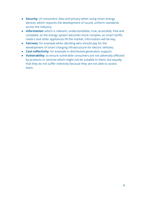- **Security:** of consumers' data and privacy when using smart energy devices, which requires the development of sound, uniform standards across the industry;
- **Information:** which is relevant, understandable, true, accessible, free and complete; as the energy system becomes more complex, as smart tariffs, meters and other appliances fill the market, information will be key;
- **Fairness:** for example when deciding who should pay for the development of smart charging infrastructure for electric vehicles;
- **Cost-reflectivity**: for example in distributed generation support;
- Vulnerability: to ensure vulnerable consumers are not adversely affected by products or services which might not be suitable to them, but equally that they do not suffer indirectly because they are not able to access them.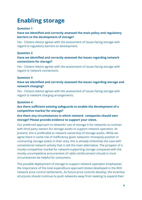# <span id="page-6-0"></span>**Enabling storage**

#### <span id="page-6-1"></span>**Question 1**

#### Have we identified and correctly assessed the main policy and regulatory **barriers to the development of storage?**

Yes - Citizens Advice agrees with the assessment of issues facing storage with regard to regulatory barriers to development.

#### <span id="page-6-2"></span>**Question 2**

#### Have we identified and correctly assessed the issues regarding network **connections for storage?**

Yes - Citizens Advice agrees with the assessment of issues facing storage with regard to network connections.

#### <span id="page-6-3"></span>**Question 3**

#### Have we identified and correctly assessed the issues regarding storage and **network charging?**

Yes - Citizens Advice agrees with the assessment of issues facing storage with regard to network charging arrangements.

#### <span id="page-6-4"></span>**Question 4**

#### Are there sufficient existing safeguards to enable the development of a **competitive market for storage?**

#### **Are there any circumstances in which network companies should own storage? Please provide evidence to support your views.**

Our preferred approach to networks' use of storage is for networks to contract with third party owners for storage assets to support network operation. At present, this is preferable to network ownership of storage assets. While we agree there is some risk of inefficiency given networks' monopoly position in contracting storage assets in their area, this is already inherently the case with conventional network activity that is still the main alternative. The prospect of a mostly-competitive market for network-supporting storage compared with the mostly-uncompetitive procurement of cable reinforcement should in most circumstances be helpful for consumers.

The possible deployment of storage to support network operation emphasises the importance of the total expenditure approach (totex) developed in the RIIO network price control settlements. As future price controls develop, the incentive structures should continue to push networks away from seeking to expand their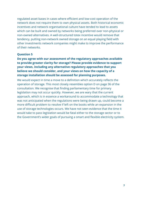regulated asset bases in cases where efficient and low-cost operation of the network does not require them to own physical assets. Both historical economic incentives and network organisational culture have tended to lead to assets which can be built and owned by networks being preferred over non-physical or non-owned alternatives. A well-structured totex incentive would remove that tendency, putting non-network owned storage on an equal playing field with other investments network companies might make to improve the performance of their networks.

#### <span id="page-7-0"></span>**Question 5**

**Do you agree with our assessment of the regulatory approaches available to provide greater clarity for storage? Please provide evidence to support your views, including any alternative regulatory approaches that you believe we should consider, and your views on how the capacity of a storage installation should be assessed for planning purposes.**

We would expect in time a move to a definition which accurately reflects the operation of storage. This most closely resembles option D on page 36 of the consultation. We recognise that finding parliamentary time for primary legislation may not occur quickly. However, we are wary that the current approach, which is in essence a workaround to accommodate a technology that was not anticipated when the regulations were being drawn up, could become a more difficult problem to resolve if left on the books while an expansion in the use of storage technologies occurs. We have not seen evidence that the time it would take to pass legislation would be fatal either to the storage sector or to the Government's wider goals of pursuing a smart and flexible electricity system.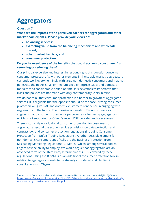# <span id="page-8-0"></span>**Aggregators**

#### <span id="page-8-1"></span>**Question 7**

**What are the impacts of the perceived barriers for aggregators and other market participants? Please provide your views on:**

- **● balancing services;**
- **● extracting value from the balancing mechanism and wholesale market;**
- **● other market barriers; and**
- **● consumer protection.**

#### **Do you have evidence of the benefits that could accrue to consumers from removing or reducing them?**

Our principal expertise and interest in responding to this question concerns consumer protection. As with other elements in the supply market, aggregators currently work overwhelmingly with large non-domestic consumers and may not penetrate the micro, small or medium sized enterprise (SME) and domestic markets for a considerable period of time. It is nevertheless imperative that rules and policies are not made with only contemporary users in mind.

We do not think that consumer protection is a barrier to growth of aggregator services. It is arguable that the opposite should be the case - strong consumer protection will give SME and domestic customers confidence in engaging with aggregators in the future. The phrasing of question 7 is unfortunate as it suggests that consumer protection is perceived as a barrier by aggregators which is not supported by Ofgem's recent DSR provider and user survey.<sup>9</sup>

There is currently no additional consumer protection for customers of aggregators beyond the economy-wide provisions on data protection and contract law, and consumer protection regulations (including Consumer Protection from Unfair Trading Regulations). Another possible element for non-domestic consumers specifically are the Business Protection from Misleading Marketing Regulations (BPMMRs), which, among several bodies, Ofgem has the ability to employ. We would argue that aggregators are an advanced form of the Third Party Intermediaries (TPIs) covered by these regulations. Using the BPMMRs as an additional consumer protection tool in relation to aggregators needs to be strongly considered and clarified in consultation with Ofgem.

<sup>9</sup> Industrial & Commercial demand-side response in GB: barriers and potential (2016) Ofgem https://www.ofgem.gov.uk/system/files/docs/2016/10/industrial\_and\_commercial\_demand-side [response\\_in\\_gb\\_barriers\\_and\\_potential.pd](https://www.ofgem.gov.uk/system/files/docs/2016/10/industrial_and_commercial_demand-side_response_in_gb_barriers_and_potential.pdf)f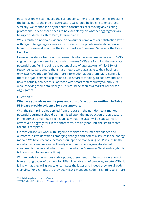In conclusion, we cannot see the current consumer protection regime inhibiting the behaviour of the type of aggregators we should be looking to encourage. Similarly, we cannot see any benefit to consumers of removing any existing protections. Indeed there needs to be extra clarity on whether aggregators are being considered as Third Party Intermediaries.

We currently do not hold evidence on consumer complaints or satisfaction levels with regard to aggregator services to underpin the points made above, since larger businesses do not use the Citizens Advice Consumer Service or the Extra Help Unit.

However, evidence from our own research into the smart meter rollout to SMEs suggests a high degree of apathy which means SMEs are forgoing the associated potential benefits, including the potential use of aggregators. Whilst 53% of respondents were aware that smart meters were available to their business, only 18% have tried to find out more information about them. More generally there is a 'gap' between aspiration to use smart technology to cut demand, and how to actually achieve this - of those with smart meters surveyed, only 28% were checking their data weekly.<sup>10</sup> This could be seen as a market barrier for aggregators.

#### <span id="page-9-0"></span>**Question 9**

#### **What are your views on the pros and cons of the options outlined in Table 5? Please provide evidence for your answers.**

With the right principles applied from the start in the non-domestic market, potential detriment should be minimised upon the introduction of aggregators in the domestic market. It seems unlikely that the latter will be substantially attractive to aggregators in the short-term, possibly not until the smart meter rollout is complete.

Citizens Advice will work with Ofgem to monitor consumer experience and outcomes, as we do with all emerging changes and potential issues in the energy market. We have recently increased our specific monitoring of TPI issues (in the non-domestic market) and will analyse and report on aggregator-based consumer issues as and when they come into the Consumer Service (though this is likely to not be for some time).

With regards to the various code options, there needs to be a consideration of how existing codes of conduct for TPIs will enable or influence aggregator-TPIs. It is likely that they will grow to encompass the latter and indeed they are already changing. For example, the previously  $E.ON$ -managed code<sup>11</sup> is shifting to a more

<sup>&</sup>lt;sup>10</sup> Publishing date to be confirmed

<sup>&</sup>lt;sup>11</sup> TPI Code of Practice [http://www.tpicodeofpractice.co.uk](http://www.tpicodeofpractice.co.uk/)/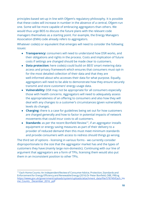principles-based set-up in line with Ofgem's regulatory philosophy. It is possible that these codes will increase in number in the absence of a central, Ofgem-run one. Some will be more capable of embracing aggregators than others. We would thus urge BEIS to discuss the future plans with the relevant code managers themselves as a starting point. For example, the Energy Managers Association (EMA) code already refers to aggregators.

Whatever code(s) or equivalent that emerges will need to consider the following issues:

- **Transparency:** consumers will need to understand how DSR works, and their obligations and rights in the process. Costs and implication of future costs if settings are changed should be made clear to customers.
- **Data protection:** here code(s) could build on BEIS' smart metering data access and privacy framework which ensures that consumers must opt-in for the most detailed collection of their data and that they are well-informed about who accesses their data for what purpose. Equally, aggregators will need to be able to demonstrate how they ensure securely transmit and store customers' energy usage data.
- **Vulnerability:** DSR may not be appropriate for all consumers especially those with health concerns. Aggregators will need to adequately assess the appropriateness of an offering to consumers and also how they will deal with any changes to a customer's circumstances (given vulnerability levels do change).
- **Charging:** there is a case for guidelines being set out for how customers are charged generally and how to factor in potential impacts of network movements that could incur costs to all customers.
- **Standards:** as per the recent Bonfield Review<sup>12</sup>, if an aggregator installs equipment or energy saving measures as part of their delivery to a provider of reduced demand then this must meet minimum standards and provide consumers with access to redress should things go wrong.

The third set of options - licensing in various forms - we currently consider disproportionate to the size that the aggregator market has and the types of customers they have (mainly large non-domestic). Continuing with our line of argument that aggregators are a form of TPIs, licensing them would also put them in an inconsistent position to other TPIs.

<sup>&</sup>lt;sup>12</sup> Each Home Counts: An Independent Review of Consumer Advice, Protection, Standards and Enforcement for Energy Efficiency and Renewable Energy (2016) Dr Peter Bonfield, OBE, FREng https://www.gov.uk/government/uploads/system/uploads/attachment\_data/file/578749/Each\_Ho me\_Counts\_December\_2016\_.pdf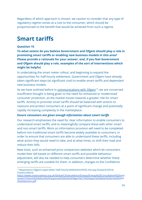Regardless of which approach is chosen, we caution to consider that any type of regulatory regime comes at a cost to the consumer, which should be proportionate to the benefit that would be achieved from such a regime.

### <span id="page-11-0"></span>**Smart tariffs**

#### <span id="page-11-1"></span>**Question 15**

**To what extent do you believe Government and Ofgem should play a role in promoting smart tariffs or enabling new business models in this area? Please provide a rationale for your answer, and, if you feel Government and Ofgem should play a role, examples of the sort of interventions which might be helpful.**

In undertaking the smart meter rollout, and beginning to expand the opportunities for half-hourly settlement, Government and Ofgem have already taken significant steps (at significant cost) to enable smart tariffs and dependant new business models.

As we have outlined before in [communications with Ofgem](https://www.citizensadvice.org.uk/Global/CitizensAdvice/Energy/Energy%20Consultation%20responses/Citizens%20Advice%20response%20to%20Ofgem%27s%20open%20letter%20on%20HH%20settlement.pdf) $<sup>13</sup>$ , we are concerned</sup> insufficient thought is being given to the need for enhanced or modernised consumer protection, as the market moves towards a greater role for smart tariffs. Activity to promote smart tariffs should be balanced with actions to reassure and protect consumers at a point of significant change and potentially rapidly increasing complexity in the marketplace.

#### **Ensure consumers are given enough information about smart tariffs**

Our research emphasises the need for clear information to enable consumers to understand smart tariffs, and to meaningfully compare these with other smart and non-smart tariffs. Work on information provision will need to be completed before non-traditional smart tariffs become widely available to consumers, in order to ensure that consumers are able to understand these tariffs, including what action they would need to take, and at what times, to shift their load and reduce their bills.

New tools, such as enhanced price comparison websites which let consumers model their bill based on different smart tariffs and possible behaviour adjustment, will also be needed to help consumers determine whether these emerging tariffs are suitable for them. In addition, changes to the Confidence

<sup>&</sup>lt;sup>13</sup> Response to Ofgem's open letter 'Half-hourly settlement (HHS): the way forward' (2016) Citizens Advice

[https://www.citizensadvice.org.uk/Global/CitizensAdvice/Energy/Energy%20Consultation%20res](https://www.citizensadvice.org.uk/Global/CitizensAdvice/Energy/Energy%20Consultation%20responses/Citizens%20Advice%20response%20to%20Ofgem%27s%20open%20letter%20on%20HH%20settlement.pdf)p [onses/Citizens%20Advice%20response%20to%20Ofgem%27s%20open%20letter%20on%20HH](https://www.citizensadvice.org.uk/Global/CitizensAdvice/Energy/Energy%20Consultation%20responses/Citizens%20Advice%20response%20to%20Ofgem%27s%20open%20letter%20on%20HH%20settlement.pdf)% [20settlement.pdf](https://www.citizensadvice.org.uk/Global/CitizensAdvice/Energy/Energy%20Consultation%20responses/Citizens%20Advice%20response%20to%20Ofgem%27s%20open%20letter%20on%20HH%20settlement.pdf)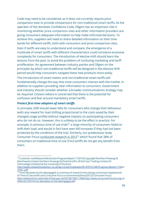Code may need to be considered, as it does not currently require price comparison sites to provide comparisons for non-traditional smart tariffs. As the operator of the domestic Confidence Code, Ofgem has an important role in monitoring whether price comparison sites and other information providers are giving consumers adequate information to help make informed decisions. To achieve this, suppliers will need to share detailed information on their time bands for different tariffs, both with consumers and price comparison sites.

Even if tariffs are easy to understand and compare, the emergence of a multitude of smart tariffs with different characteristics could introduce excessive complexity for consumers. The introduction of elective HHS should learn the lessons from the past, to avoid the problems of confusing marketing and tari proliferation. An agreement between industry parties and Ofgem on the principles by which non-traditional tariffs will be designed in the elective HHS period would help consumers navigate these new products more easily.

The introduction of smart meters and non-traditional smart tariffs will fundamentally change the way that most consumers interact with the market. In addition to suppliers providing clear information to consumers, Government and industry should consider whether a broader communications strategy may be required. Citizens Advice is concerned that there is the potential for confusion and fear around mandatory smart tariffs.

#### **Protect first-time adopters of smart tariffs**

In principle, DSR should lower bills for consumers who change their behaviour (with any reward for load shifting proportional to the costs saved by their changed usage profile) without negative impacts on participating consumers who do not do so. However, this is unlikely to be the effect in practice. For example, in previous time of use trials $14$  a large minority of consumers failed to shift their load, and would in fact have seen bill increases if they had not been protected by the conditions of the trial. Similarly, our predecessor body Consumer Focus [conducted research in 2012](http://webarchive.nationalarchives.gov.uk/20140728011208/http://www.consumerfutures.org.uk/files/2013/07/From-devotees-to-the-disengaged.pdf)<sup>15</sup> which found that 38% of consumers on traditional time of use (ToU) tariffs do not get any benefit from them.

<sup>&</sup>lt;sup>14</sup> Customer-Led Network Revolution Progress Report 7 (2014) Copyright Northern Powergrid (Northeast) Limited, Northern Powergrid (Yorkshire) Plc, British Gas Trading Limited, EA Technology Limited and the University of Durham

[http://www.networkrevolution.co.uk/wp-content/uploads/2014/07/CLNR-Progress-Report-7-Ne](http://www.networkrevolution.co.uk/wp-content/uploads/2014/07/CLNR-Progress-Report-7-New-links-.pdf)w [-links-.pdf](http://www.networkrevolution.co.uk/wp-content/uploads/2014/07/CLNR-Progress-Report-7-New-links-.pdf)

<sup>&</sup>lt;sup>15</sup> From devotees to the disengaged: A summary of research into energy consumers' experiences of Time of Use tariffs and Consumer Focus's recommendations (2012) Consumer Focus [http://webarchive.nationalarchives.gov.uk/20140728011208/http://www.consumerfutures.org.u](http://webarchive.nationalarchives.gov.uk/20140728011208/http://www.consumerfutures.org.uk/files/2013/07/From-devotees-to-the-disengaged.pdf)k [/les/2013/07/From-devotees-to-the-disengaged.pd](http://webarchive.nationalarchives.gov.uk/20140728011208/http://www.consumerfutures.org.uk/files/2013/07/From-devotees-to-the-disengaged.pdf)f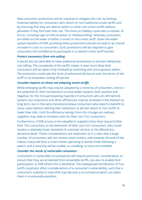New consumer protections will be required to mitigate this risk, by limiting financial liability for consumers who switch to non-traditional smart tariffs and by ensuring that they are able to switch to other non-smart tariffs without penalties if they find their bills rise. The limits on liability could take a number of forms, including caps on bill increases or 'shadow billing', whereby consumers are billed on the lower of either a smart or non-smart tariff. Given the wider system benefits of DSR, providing these protections should not lead to an overall increase in costs to consumers. Such protections will be required to give consumers the confidence to participate in a nascent smart tariff market.

#### *Protect consumers from mis-selling*

It would also be desirable to have additional protections to prevent deliberate mis-selling. The complexity of the tariffs makes it even more likely that consumers will be taken in by misleading marketing and unscrupulous sellers. The protection could take the form of enhanced disclosure over the terms of the tariff or an extended cooling off period.

#### **Consider impacts on those not adopting smart tariffs**

While emerging tariffs may only be adopted by a minority of consumers, there is the potential for their introduction to have wider impacts, both positive and negative, for the non-participating majority of consumers who are left behind. System cost reductions and other efficiencies may be achieved in the medium to long term, but in the early transitional phase consumers who stand to benefit (in some cases without altering their behaviour at all) will switch to ToU tariffs to lower their bills. Until the efficiency savings from this change are realised, suppliers may seek to increase costs for their non-ToU consumers.

Furthermore, if DSR proves to be valuable to suppliers then they may prioritise their ToU consumers to the detriment of their non-ToU consumers, who could receive a relatively lower standard of customer service, or be offered less attractive deals. These considerations are important as it is clear that a large number of consumers will not receive smart meters until towards the end of the rollout, many will have a smart meter operating in dumb mode following a switch, and a minority will be unable, or unwilling, to have one installed.

#### *Consider the needs of vulnerable consumers*

Consumers in vulnerable circumstances will require particular consideration, to ensure that they are protected from unsuitable tariffs, but also to enable their participation in DSR where this is beneficial. The widespread introduction of ToU tariffs could also affect considerations of a consumer's vulnerability, such that a consumer's inability to load shift may become a circumstance which can place them in a vulnerable position.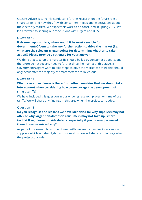Citizens Advice is currently conducting further research on the future role of smart tariffs, and how they fit with consumers' needs and expectations about the electricity market. We expect this work to be concluded in Spring 2017. We look forward to sharing our conclusions with Ofgem and BEIS.

#### <span id="page-14-0"></span>**Question 16**

#### **If deemed appropriate, when would it be most sensible for Government/Ofgem to take any further action to drive the market (i.e. what are the relevant trigger points for determining whether to take action)? Please provide a rationale for your answer.**

We think that take-up of smart tariffs should be led by consumer appetite, and therefore do not see any need to further drive the market at this stage. If Government/Ofgem want to take steps to drive the market we think this should only occur after the majority of smart meters are rolled out.

#### <span id="page-14-1"></span>**Question 17**

#### **What relevant evidence is there from other countries that we should take into account when considering how to encourage the development of** smart tariffs?

We have included this question in our ongoing research project on time of use tariffs. We will share any findings in this area when the project concludes.

#### <span id="page-14-2"></span>**Question 18**

#### Do you recognise the reasons we have identified for why suppliers may not offer or why larger non-domestic consumers may not take up, smart tariffs? If so, please provide details, especially if you have experienced **them. Have we missed any?**

As part of our research on time of use tariffs we are conducting interviews with suppliers which will shed light on this question. We will share our findings when the project concludes.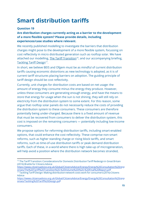# <span id="page-15-0"></span>**Smart distribution tariffs**

#### <span id="page-15-1"></span>**Question 19**

**Are distribution charges currently acting as a barrier to the development** of a more flexible system? Please provide details, including **experiences/case studies where relevant.**

We recently published modelling to investigate the barriers that distribution charges might pose to the development of a more flexible system, focussing on cost reflectivity in micro distributed generation such as rooftop solar. We have attached our modelling, The Tariff Transition<sup>16</sup>, and our accompanying briefing, Tackling Tariff Design<sup>17</sup>.

In short, we believe BEIS and Ofgem must be as mindful of current distribution tariffs causing economic distortions as new technology is adopted, as it is of current tariff structures placing barriers on adoption. The guiding principle of tariff design should be cost reflectivity.

Currently, unit charges for distribution costs are based on net usage: the amount of energy they consume minus the energy they produce. However, unless these consumers are generating enough energy, and have the means to store that energy for usage when the sun is not shining, they will still rely on electricity from the distribution system to some extent. For this reason, some argue that rooftop solar panels do not necessarily reduce the costs of providing the distribution system to these consumers. These consumers are therefore potentially being under-charged. Because there is a fixed amount of revenue that must be recovered from consumers to deliver the distribution system, this cost is imposed on the remaining consumers — potentially including low-income consumers.

We propose options for reforming distribution tariffs, including smart-enabled options, that could enhance the cost reflectivity. These comprise non-smart reforms, such as higher standing charge or rising block tariffs, and smart reforms, such as time-of-use distribution tariffs or peak demand distribution tariffs. Each of these, in a world where there is high take-up of microgeneration, will help avoid a position where the distribution network becomes stranded,

<sup>&</sup>lt;sup>16</sup> The Tariff Transition: Considerations for Domestic Distribution Tariff Redesign in Great Britain (2016) Brattle for Citizens Advice

[https://www.citizensadvice.org.uk/Global/CitizensAdvice/Energy/Energy%20Consultation%20res](https://www.citizensadvice.org.uk/Global/CitizensAdvice/Energy/Energy%20Consultation%20responses/The%20Tariff%20Transition%20-%20Volume%20I%20-%20Final%20Report.pdf)p [onses/The%20Tari%20Transition%20-%20Volume%20I%20-%20Final%20Report.pd](https://www.citizensadvice.org.uk/Global/CitizensAdvice/Energy/Energy%20Consultation%20responses/The%20Tariff%20Transition%20-%20Volume%20I%20-%20Final%20Report.pdf)f

<sup>&</sup>lt;sup>17</sup> Tackling Tariff Design: Making distribution network costs work for consumers (2016) Citizens Advice

[https://www.citizensadvice.org.uk/Global/CitizensAdvice/Energy/Energy%20Consultation%20res](https://www.citizensadvice.org.uk/Global/CitizensAdvice/Energy/Energy%20Consultation%20responses/Tackling%20Tariff%20Design.pdf)p [onses/Tackling%20Tari%20Design.pd](https://www.citizensadvice.org.uk/Global/CitizensAdvice/Energy/Energy%20Consultation%20responses/Tackling%20Tariff%20Design.pdf)f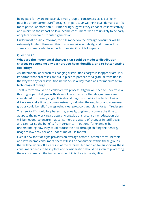being paid for by an increasingly small group of consumers (as is perfectly possible under current tariff designs). In particular we think peak demand tariffs merit particular attention. Our modelling suggests they enhance cost-reflectivity and minimise the impact on low-income consumers, who are unlikely to be early adopters of micro distributed generation.

Under most possible reforms, the bill impact on the average consumer will be extremely limited. However, this masks massive variability, and there will be some consumers who face much more significant bill impacts.

#### <span id="page-16-0"></span>**Question 20**

#### **What are the incremental changes that could be made to distribution** charges to overcome any barriers you have identified, and to better enable **exibility?**

An incremental approach to changing distribution charges is inappropriate. It is important that processes are put in place to prepare for a gradual transition in the way we pay for distribution networks, in a way that plans for medium-term technological change.

Tariff reform should be a collaborative process. Ofgem will need to undertake a thorough open dialogue with stakeholders to ensure that design issues are considered from every angle. This should begin now: while the technological drivers may take time to come onstream, industry, the regulator and consumer groups could benefit from agreeing clear protocols and plans for tariff redesign.

The new tariff should be phased in gradually, to give consumers the time to adapt to the new pricing structure. Alongside this, a consumer education plan will be needed, to ensure that consumers are aware of changes in tariff design and can realise the benefits from certain tariff options (for example, by understanding how they could reduce their bill through shifting their energy usage to low peak periods under time of use tariffs).

Even if new tariff designs provides on average better outcomes for vulnerable and low-income consumers, there will still be consumers within these groups that will be worse off as a result of the reforms. A clear plan for supporting these consumers needs to be in place and consideration should be given to protecting these consumers if the impact on their bill is likely to be significant.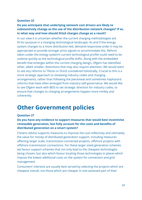#### <span id="page-17-0"></span>**Question 22**

#### **Do you anticipate that underlying network cost drivers are likely to substantively change as the use of the distribution network changes? If so, in what way and how should DUoS charges change as a result?**

In our view it is uncertain whether the current charging methodologies are fit-for-purpose in a changing technological landscape. As and if the energy system changes to a more distribution-led, demand-responsive order it may be appropriate to provide stronger price signals to accommodate this. Reform taken under the energy system's current technological profile could need to be undone quickly as the technological profile shifts. Along with the embedded benefit that emerges within the current charging design, Ofgem has identified other, albeit smaller, distortions that may also require attention. We would want to see any reforms to TNUos or DUoS considered holistically. Crucial to this is a more strategic approach to reviewing industry codes and charging arrangements, rather than following the piecemeal and sometimes haphazard reforms that have often emerged from industry self-governance. We would like to see Ofgem work with BEIS to set strategic direction for industry codes, to ensure that changes to charging arrangements happen more nimbly and coherently.

### <span id="page-17-1"></span>**Other Government policies**

#### <span id="page-17-2"></span>**Question 27**

#### **Do you have any evidence to support measures that would best incentivise** renewable generation, but fully account for the costs and benefits of **distributed generation on a smart system?**

Citizens Advice supports measures to improve the cost-reflectivity and ultimately the value for money of distributed generation support, including measures affecting larger scale, transmission-connected projects, offshore projects with offshore transmission connections. For these larger sized generation schemes we favour support schemes that not only lead to the cheapest technologies being chosen, but also which favour locating those technologies in places which impose the lowest additional costs on the system for connection and grid management.

Consumers' interests are usually best served by selecting the projects which are cheapest overall, not those which are cheaper in one assessed part of their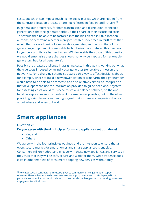costs, but which can impose much higher costs in areas which are hidden from the contract allocation process or are not reflected in feed in tariff returns.<sup>18</sup>

In general our preference, for both transmission and distribution-connected generation is that the generator picks up their share of their associated costs. This would then be able to be factored into the bids placed in CfD allocation auctions, or determine whether a project is viable under feed in tariff rates that would then cover all costs of a renewable generator, and not just that of the generating equipment. As renewable technologies have matured this need no longer be a prohibitive barrier to clear. (While outside the scope of this question, we would emphasise these charges should not only be imposed for renewable generators, but for all generators).

Possibly the greatest challenge in assigning costs in this way is working out what the true costs imposed by an individual generator (renewable or not) on the network is. For a charging scheme structured this way to affect decisions about, for example, where to build a new power station or wind farm, the right number would have to be able to be forecast, and also relatively simple to interpret, so that developers can use the information provided to guide decisions. A system for assessing costs would thus need to strike a balance between, on the one hand, incorporating as much relevant information as possible, but on the other providing a simple and clear enough signal that it changes companies' choices about where and when to build.

### <span id="page-18-0"></span>**Smart appliances**

#### <span id="page-18-1"></span>**Question 28**

**Do you agree with the 4 principles for smart appliances set out above?**

- Yes, and
- Others

We agree with the four principles outlined and the intention to ensure that an open, secure market for smart homes and smart appliances is enabled. Consumers will only adopt and engage with these new appliances and services if they trust that they will be safe, secure and work for them. While evidence does exist in other markets of consumers adopting new services without fully

<sup>&</sup>lt;sup>18</sup> However special consideration must be given to community-drivengeneration support schemes. These schemes need to ensure the most appropriate generation is deployed for a particular community, not only in relation to costs but also with regards to maximising consumer engagement and inclusion.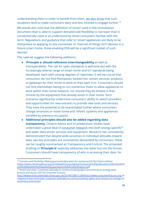understanding them in order to benefit from them, [we also know t](https://www.citizensadvice.org.uk/Global/CitizensAdvice/Consumer%20publications/Fairness%20and%20flexibility%20data%20expectations%20final%20report.pdf)hat such situations tend to make consumers wary and less inclined to engage further.<sup>19</sup>

We would also note that the definition of 'smart' used in the consultation document (that is: able to support demand-side flexibility) is narrower than is conventionally used or as understood by those consumers familiar with the term. Regulations and guidance that refer to 'smart' appliances are likely to be interpreted as applying to any connected, or 'internet of things' (IoT) devices in a future smart home, those enabling DSR will be a significant subset of such devices.

This said we suggest the following additions:

- **'Principle a' should reference interchangeability** as well as interoperability. The call for open standards is welcome but with the increasingly diverse range of smart home and IoT standards being developed, each with varying degrees of 'openness' it will be crucial that consumers do not find themselves 'locked into' certain services, products or gateways for their home to work as they want it to. Consumers should not find themselves having to run numerous 'hubs' to allow appliances to work within their home network, nor should they be limited in their choices by the equipment that already exists in their home. Such scenarios significantly undermine consumers' ability to switch providers and opportunities for new entrants to provide new tools and services. They have the potential to be exacerbated further where consumers change tenancies or move home and 'inherit' systems and appliances installed by previous occupants.
- **Additional principles should also be added regarding data transparency**. Citizens Advice and its predecessor bodies have undertaken a great deal of [consumer research](http://webarchive.nationalarchives.gov.uk/20140728011208/http://www.consumerfutures.org.uk/reports/smart-and-clear-customer-attitudes-to-communicating-rights-and-choices-on-energy-data-privacy-and-access) into both energy-specific<sup>20</sup> and wider data-driven services and equipment. Research has consistently demonstrated that despite wide variances in individual attitudes toward data, two key principles are consistently demanded by consumers, these can be roughly summarised as Transparency and Control. The proposed drafting of **'Principle b'** explicitly addresses the latter but not the former. Consumers should have transparency of who is accessing their data, for

<sup>&</sup>lt;sup>19</sup> Fairness and flexibility: Making personal data work for everyone (2016) Citizens Advice [https://www.citizensadvice.org.uk/Global/CitizensAdvice/Consumer%20publications/Fairness%2](https://www.citizensadvice.org.uk/Global/CitizensAdvice/Consumer%20publications/Fairness%20and%20flexibility%20data%20expectations%20final%20report.pdf)0 and%20flexibility%20data%20expectations%20final%20report.pdf

 $^{20}$  Smart and clear: Customer attitudes to communicatingrights and choices on energy data privacy and access (2014) Consumer Futures

[http://webarchive.nationalarchives.gov.uk/20140728011208/http://www.consumerfutures.org.u](http://webarchive.nationalarchives.gov.uk/20140728011208/http://www.consumerfutures.org.uk/reports/smart-and-clear-customer-attitudes-to-communicating-rights-and-choices-on-energy-data-privacy-and-access)k [/reports/smart-and-clear-customer-attitudes-to-communicating-rights-and-choices-on-energy-d](http://webarchive.nationalarchives.gov.uk/20140728011208/http://www.consumerfutures.org.uk/reports/smart-and-clear-customer-attitudes-to-communicating-rights-and-choices-on-energy-data-privacy-and-access)a [ta-privacy-and-access](http://webarchive.nationalarchives.gov.uk/20140728011208/http://www.consumerfutures.org.uk/reports/smart-and-clear-customer-attitudes-to-communicating-rights-and-choices-on-energy-data-privacy-and-access)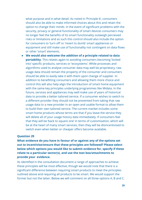what purpose and in what detail. As noted in 'Principle b', consumers should also be able to make informed choices about this and retain the option to change their minds. In the event of significant problems with the security, privacy or general functionality of smart devices consumers may no longer feel the benefits of its smart functionality outweigh perceived risks or limitations and as such this control should also include the option for consumers to 'turn off' or 'revert to dumb' smart appliances or equipment and still make use of functionality not contingent on data flows or other 'smart' elements.

● **We would also welcome the addition of a principle related to data portability**. This relates again to avoiding consumers becoming 'locked into' specific products, services or 'ecosystems'. While processes and algorithms used to analyse consumer data may well be proprietary, raw usage data should remain the property of the consumer and consumers should be able to easily take it with them upon change of supplier. In addition to benefitting consumers and allowing them more choice and control this will also help align the introduction of smart home equipment with the same key principles underlying programmes like Midata. In the future, services and appliances may well make use of years of historical data to provide a better tailored service. If a consumer wishes to switch to a different provider they should not be prevented from taking that raw usage data to a new provider in an open and usable format to allow them to build their own tailored service. The current market includes some smart home products whose terms are that if you leave the service they will delete all of your usage history data immediately. If consumers feel that they will be 'back to square one' in terms of customisation, which will be at the heart of many smart services, then they will be disincentivised to switch even when better or cheaper offers become available.

#### <span id="page-20-0"></span>**Question 29**

**What evidence do you have in favour of or against any of the options set out to incentivise/ensure that these principles are followed? Please select below which options you would like to submit evidence for, specify if these relate to a particular sector(s), and use the text box/attachments to provide your evidence.**

As identified in the consultation document a range of approaches to achieve these principles will be most effective, though we would note that there is a significant difference between requiring smart products to meet the principles outlined above and requiring all products to be smart. We would support the former but not the latter. Below we will comment on all three options A, B and C.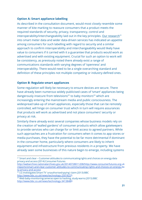#### **Option A: Smart appliance labelling**

As described in the consultation document, would most closely resemble some manner of kite marking to reassure consumers that a product meets the required standards of security, privacy, transparency, control and  $interoperability/interchanging a bit of the key principles. Our research<sup>21</sup>$  $interoperability/interchanging a bit of the key principles. Our research<sup>21</sup>$  $interoperability/interchanging a bit of the key principles. Our research<sup>21</sup>$ into smart meter data and wider data-driven services has indicated an appetite among consumers for such labelling with regard to security and a similar approach to confirm interoperability and interchangeability would likely have value to consumers if it carried with it a guarantee that products would work as advertised and with existing equipment. Crucial for such an option to work will be consistency, as previously noted there already exist a range of communications standards with varying degrees of 'openness' and interoperability. There would need to be a single overarching standard and definition of these principles not multiple competing or industry-defined ones.

#### **Option B: Regulate smart appliances**

Some regulation will likely be necessary to ensure devices are secure. There have already been numerous widely publicised cases of 'smart' appliances being dangerously insecure from televisions<sup>22</sup> to baby monitors<sup>23</sup> which are increasingly entering the mainstream media and public consciousness. The widespread take-up of smart appliances, especially those that can be remotely controlled, will hinge on consumer trust which in turn will require assurances that products will work as advertised and not place consumers' security or privacy at risk.

Similarly there already exist several companies whose business models rely on the creation of 'walled gardens' of consumer products which allow gatekeepers to provide services who can charge for or limit access to agreed partners. While such approaches are a frustration for consumers when it comes to app stores or media purchases, they have the potential to be far more detrimental if dominant in the consumer home, particularly where consumers are likely to inherit equipment and infrastructure from previous residents in a property. We have already seen some businesses of this nature begin to emerge, including systems

<sup>&</sup>lt;sup>21</sup> Smart and clear – Customer attitudes to communicating rights and choices on energy data privacy and access (2014) Consumer Futures

[http://webarchive.nationalarchives.gov.uk/20140728011208/http://www.consumerfutures.org.u](http://webarchive.nationalarchives.gov.uk/20140728011208/http://www.consumerfutures.org.uk/reports/smart-and-clear-customer-attitudes-to-communicating-rights-and-choices-on-energy-data-privacy-and-access)k [/reports/smart-and-clear-customer-attitudes-to-communicating-rights-and-choices-on-energy-d](http://webarchive.nationalarchives.gov.uk/20140728011208/http://www.consumerfutures.org.uk/reports/smart-and-clear-customer-attitudes-to-communicating-rights-and-choices-on-energy-data-privacy-and-access)a [ta-privacy-and-access](http://webarchive.nationalarchives.gov.uk/20140728011208/http://www.consumerfutures.org.uk/reports/smart-and-clear-customer-attitudes-to-communicating-rights-and-choices-on-energy-data-privacy-and-access)

<sup>&</sup>lt;sup>22</sup> LG investigates Smart TV 'unauthorised spying' claim (2013) BBC <http://www.bbc.co.uk/news/technology-25018225>

<sup>&</sup>lt;sup>23</sup> Web baby-monitoring cameras open to hacking, study warns (2015) BBC <http://www.bbc.co.uk/news/technology-34138480>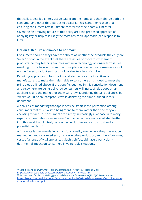that collect detailed energy usage data from the home and then charge both the consumer and other third parties to access it. This is another reason that ensuring consumers retain ultimate control over their data will be vital.

Given the fast-moving nature of this policy area the proposed approach of applying key principles is likely the most advisable approach (see response to Q28).

#### **Option C: Require appliances to be smart**

Consumers should always have the choice of whether the products they buy are 'smart' or not. In the event that there are issues or concerns with smart products, be they teething troubles with new technology or longer term issues resulting from a failure to meet the principles outlined above consumers should not be forced to adopt such technology due to a lack of choice.

Requiring appliances to be smart would also remove the incentives on manufacturers to make them desirable to consumers and indeed to meet the principles outlined above. If the benefits outlined in this consultation document and elsewhere are being delivered consumers will increasingly adopt smart appliances and the market for them will grow. Mandating that all appliances be 'smart' would be counterproductive in achieving the aims outlined in this document.

A final risk of mandating that appliances be smart is the perception among consumers that this is a step being 'done to them' rather than one they are choosing to take up. Consumers are already increasingly ill-at-ease with many aspects of new data-driven services<sup>24</sup> and an effectively mandated step further into this World would likely be counterproductive and risk distrust and a potential backlash<sup>25</sup>.

A final note is that mandating smart functionality even where they may not be market demand risks needlessly increasing the production, and therefore sales, costs of a range of vital appliances. Such a shift could have a particularly detrimental impact on consumers in vulnerable situations.

<sup>&</sup>lt;sup>24</sup> Global Trends Survey 2014: Personalisation and Privacy (2014) Ipsos Mori [http://www.ipsosglobaltrends.com/personalisation-vs-privacy.htm](http://www.ipsosglobaltrends.com/personalisation-vs-privacy.html)l

<sup>&</sup>lt;sup>25</sup> Fairness and flexibility: Making personal data work for everyone (2016) Citizens Advice https://blogs.citizensadvice.org.uk/wp-content/uploads/2016/07/Fairness-and-flexibility-data-exp ectations-final-report.pdf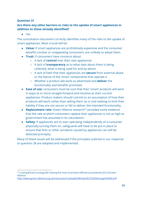#### <span id="page-23-0"></span>**Question 31**

#### **Are there any other barriers or risks to the uptake of smart appliances in addition to those already identified?**

● Yes

The consultation document correctly identifies many of the risks to the uptake of smart appliances. Most crucial will be:

- **Value:** if smart appliances are prohibitively expensive and the consumer benefits unclear or unappealing consumers, are unlikely to adopt them.
- **Trust:** if consumers have concerns about:
	- A lack of **control** over their own appliances
	- A lack of **transparency** as to what data about them is being collected, what is being used for and by whom
	- A lack of faith that their appliances are **secure** from external attack or the failure of the 'smart' components that operate it
	- Whether a product will work as advertised and **deliver** the functionality and benefits promised.
- **Ease of use:** consumers must be sure that their 'smart' products will work in ways as or more straight-forward and intuitive as their current appliances. Product makers should commit to an assumption of how their products will work rather than selling them 'as is' and seeking to limit their liability if they are not secure or fail to deliver the intended functionality.
- **Replacement rate:** Green Alliance research<sup>26</sup> provided some evidence that the rate at which consumers replace their appliances is not as high as government has assumed in its calculations.
- **Safety:** if appliances are to start operating independently of a consumer physically turning them on, safeguards will have to be put in place to ensure that fires or other accidents caused by appliances can still be detected promptly.

Many of these issues will be addressed if the principles outlined in our response to question 28 are adopted and implemented.

<sup>&</sup>lt;sup>26</sup> Cutting Britain's energy bill making the most of product efficiency standards (2012) Green Alliance

[http://www.green-alliance.org.uk/resources/Cutting%20Britain%27s%20energy%20bill.pd](http://www.green-alliance.org.uk/resources/Cutting%20Britain%27s%20energy%20bill.pdf)f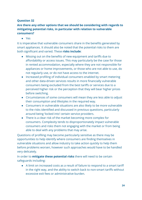#### <span id="page-24-0"></span>**Question 32**

#### **Are there any other options that we should be considering with regards to mitigating potential risks, in particular with relation to vulnerable consumers?**

● Yes

It is imperative that vulnerable consumers share in the benefits generated by smart appliances. It should also be noted that the potential risks to them are both signicant and varied. These **risks include** :

- Missing out on the benefits of new equipment and tariffs due to affordability or access issues. This may particularly be the case for those in rented accommodation, especially where they are not responsible for appliances or home improvements, or those who are not able to use, do not regularly use, or do not have access to the internet.
- Increased profiling of individual consumers enabled by smart metering and other data-driven services results in more financially vulnerable consumers being excluded from the best tariffs or services due to a perceived higher risk or the perception that they will bear higher prices before switching.
- Circumstances of some consumers will mean they are less able to adjust their consumption and lifestyles in the required way.
- Consumers in vulnerable situations are also likely to be more vulnerable to the risks identified and discussed in previous questions, particularly around being 'locked into' certain service providers.
- There is a clear risk of the market becoming more complex for consumers. Complexity tends to disproportionately impact vulnerable consumers and risks them not engaging with the market or from being able to deal with any problems that may arise.

Questions of profiling may become particularly sensitive as there may be opportunities to help identify where consumers are finding themselves in vulnerable situations and allow industry to take action quickly to help them before problems worsen, however such approaches would have to be handled very delicately.

In order to **mitigate these potential risks** there will need to be certain safeguards including:

● A limit on increased costs as a result of failure to respond to a smart tariff in the right way, and the ability to switch back to non-smart tariffs without excessive exit fees or administrative burden.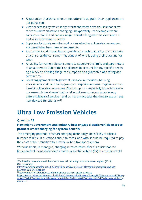- A guarantee that those who cannot afford to upgrade their appliances are not penalised.
- Clear processes by which longer-term contracts have clauses that allow for consumers situations changing unexpectedly - for example where consumers fall ill and can no longer afford a long-term service contract and wish to terminate it early
- Suppliers to closely monitor and review whether vulnerable consumers are benefitting from new arrangements.
- A consistent and robust industry-wide approach to sharing of smart data that ensures the consumer has control of who is using their data and for what.
- An ability for vulnerable consumers to stipulate the limits and parameters of an automatic DSR of their appliances to account for any specific needs eg a block on altering fridge consumption or a guarantee of heating at a certain time.
- Local engagement strategies that use local authorities, housing associations and community groups to explain how smart appliances can benefit vulnerable consumers. Such support is especially important since our research has shown that installers of smart meters provide very different levels of service<sup>27</sup> and do not always [take the time to explain](https://www.citizensadvice.org.uk/Global/CitizensAdvice/Energy/Energy%20Consultation%20responses/Early%20consumer%20experiences%20of%20smart%20meters%20-%20Research%20summary.pdf) the new device's functionality $^{28}$ .

## <span id="page-25-0"></span>**Ultra Low Emission Vehicles**

#### <span id="page-25-1"></span>**Question 33**

#### **How might Government and industry best engage electric vehicle users to promote smart charging for system benet?**

The emerging potential of smart charging technology looks likely to raise a number of difficult questions about fairness, and who should be required to pay the costs of the transition to a lower carbon transport system.

Without smart, ie managed, charging infrastructure, there is a risk that the (independent, honest) decisions made by electric vehicle (EV) purchasers could

<sup>&</sup>lt;sup>27</sup> Vulnerable consumers and the smart meter rollout: Analysis of information request (2015) Citizens Advice

[https://www.citizensadvice.org.uk/Global/CitizensAdvice/Energy/IRsmartmetersandvulnerableco](https://www.citizensadvice.org.uk/Global/CitizensAdvice/Energy/IRsmartmetersandvulnerableconsumers%20(1)%20(1).pdf) [nsumers%20\(1\)%20\(1\).pdf](https://www.citizensadvice.org.uk/Global/CitizensAdvice/Energy/IRsmartmetersandvulnerableconsumers%20(1)%20(1).pdf)

<sup>&</sup>lt;sup>28</sup> Early consumer experiences of smart meters (2016) Citizens Advice [https://www.citizensadvice.org.uk/Global/CitizensAdvice/Energy/Energy%20Consultation%20res](https://www.citizensadvice.org.uk/Global/CitizensAdvice/Energy/Energy%20Consultation%20responses/Early%20consumer%20experiences%20of%20smart%20meters%20-%20Research%20summary.pdf)p [onses/Early%20consumer%20experiences%20of%20smart%20meters%20-%20Research%20su](https://www.citizensadvice.org.uk/Global/CitizensAdvice/Energy/Energy%20Consultation%20responses/Early%20consumer%20experiences%20of%20smart%20meters%20-%20Research%20summary.pdf)m [mary.pdf](https://www.citizensadvice.org.uk/Global/CitizensAdvice/Energy/Energy%20Consultation%20responses/Early%20consumer%20experiences%20of%20smart%20meters%20-%20Research%20summary.pdf)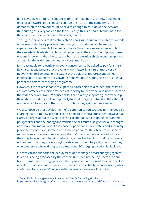have severely harmful consequences for their neighbours. If a few households on a local network loop choose to charge their cars at the same time, the demands on the network could be severe enough to shut down the network, thus cutting off everybody on the loop. Clearly, this is a bad outcome, both for the electric vehicle owners and their neighbours.

The highest priority is that electric vehicle charging should not be able to impede other users' electricity provision. Assuming this condition can be met, any capabilities which enable EV owners to tailor their charging experience to fit their needs is clearly desirable, providing either a) the costs of equipping those options is low or b) that the costs are borne by electric vehicle owners/suppliers and not by the wider energy network consumer base.

It is reasonable for electricity network consumers to be asked to pay for smart EV charging equipment that prevents wider network failure or more costly network reinforcement. To the extent that additional features/capabilities increase participation from EV-owning households, they may also be justified as part of the smart EV charging programme.

However, it is not reasonable to expect all households to also bear the costs of equipment/services which provides value solely to EV owners and not to users of the wider network. Non-EV householders are already supporting EV ownership through tax-funded grants and publicly-funded charging networks. They should not be asked to incur another cost from which they gain no direct benefit.

We also observe that development of a communication strategy for managed EV charging has up to now played second fiddle to technical questions. However, as clarity emerges about the type of technical and policy solution being pursued, policymakers and the energy and vehicle sectors must also give serious thought as to how information about the chosen option can be accurately and succinctly provided to both EV customers and their neighbours. The objective must be to minimise misunderstandings, ensure that EV customers are aware of a limits they may face in their charging behaviour, as well as helping non-EV customers understand that they are not paying extra (and should be paying less than they would otherwise have done) once a managed EV charging solution is deployed.

Citizens Advice supports the deployment of a managed smart charging system (such as is being proposed by the consortium<sup>29</sup> behind the My Electric Avenue trial scheme). We are engaging with their proposals and consultation to develop a preferred option that can meet the needs of all electricity network users, while continuing to provide EV owners with the greatest degree of flexibility.

<sup>&</sup>lt;sup>29</sup> Smart EV: Facilitating plug-in vehicle uptake (2016) EA Technology Limited [https://www.eatechnology.com/products-and-services/create-smarter-grids/ev-projects/smart-](https://www.eatechnology.com/products-and-services/create-smarter-grids/ev-projects/smart-ev)ev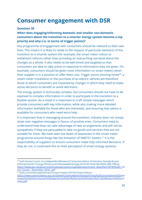# <span id="page-27-0"></span>**Consumer engagement with DSR**

#### <span id="page-27-1"></span>**Question 39**

#### **When does engaging/informing domestic and smaller non-domestic consumers about the transition to a smarter energy system become a top priority and why (i.e. in terms of trigger points)?**

Any programme of engagement with consumers should be relevant to their own lives. This means it is likely to relate to the impacts of particular elements of the transition to a smarter system (for example, the smart meter rollout or settlement reform) rather than providing an overarching narrative about the changes as a whole. It also needs to be well-timed and targeted so that consumers are able to take action in response to information they are given. For example, consumers should be given most information on smart meters when their supplier is in a position to offer them one. Trigger points (moving home<sup>30</sup>, a smart meter installation or the purchase of an electric vehicle) are therefore those at which consumers are impacted by changes in which they need to make active decisions to benefit or avoid detriment.

The energy system is technically complex, but consumers should not have to be exposed to complex information in order to participate in the transition to a flexible system. As a result it is important to craft simple messages which provide consumers with key information, while also making more detailed information available for those who are interested, and ensuring that advice is available for consumers who need extra help.

It is important that in messaging around the transition, industry does not simply skate over negative messages in favour of positive ones. Consumers need to understand how they can take advantage of new arrangements and will not be sympathetic if they are persuaded to take on goods and services that are not suitable for them. We have seen low levels of awareness in the smart meter programme around things like the limitation of SMETS1 meters.<sup>31</sup> It is the responsibility of suppliers to ensure consumers make fully informed decisions. If they do not, it could back-fire on their perception of smart energy systems.

<sup>&</sup>lt;sup>30</sup> Each Home Counts: An Independent Review of Consumer Advice, Protection, Standards and Enforcement for Energy Efficiency and Renewable Energy (2016) Dr Peter Bonfield, OBE, FREng https://www.gov.uk/government/uploads/system/uploads/attachment\_data/file/578749/Each\_Ho me\_Counts\_December\_2016\_.pdf

<sup>&</sup>lt;sup>31</sup> Early consumer experiences of smart meters (2016) Citizens Advice [https://www.citizensadvice.org.uk/Global/CitizensAdvice/Energy/Energy%20Consultation%20res](https://www.citizensadvice.org.uk/Global/CitizensAdvice/Energy/Energy%20Consultation%20responses/Early%20consumer%20experiences%20of%20smart%20meters%20-%20Research%20summary.pdf)p [onses/Early%20consumer%20experiences%20of%20smart%20meters%20-%20Research%20su](https://www.citizensadvice.org.uk/Global/CitizensAdvice/Energy/Energy%20Consultation%20responses/Early%20consumer%20experiences%20of%20smart%20meters%20-%20Research%20summary.pdf)m [mary.pdf](https://www.citizensadvice.org.uk/Global/CitizensAdvice/Energy/Energy%20Consultation%20responses/Early%20consumer%20experiences%20of%20smart%20meters%20-%20Research%20summary.pdf)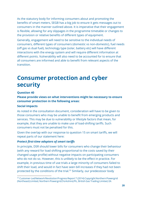As the statutory body for informing consumers about and promoting the benefits of smart meters, SEGB has a big job to ensure it gets messages out to consumers in the manner outlined above. It is imperative that their engagement is flexible, allowing for any slippages in the programme timetable or changes to the provision or relative benefits of different types of equipment.

Generally, engagement will need to be sensitive to the individual needs of consumers, different types of consumers (domestic vs non-domestic), fuel needs (off gas vs dual fuel), technology type (solar, battery etc) will have different interactions with the energy system and will require different information at different points. Vulnerability will also need to be accounted for to ensure that all consumers are informed and able to benefit from relevant aspects of the transition.

### <span id="page-28-0"></span>**Consumer protection and cyber security**

#### <span id="page-28-1"></span>**Question 40**

**Please provide views on what interventions might be necessary to ensure consumer protection in the following areas:**

#### **Social impacts**

As noted in the consultation document, consideration will have to be given to those consumers who may be unable to benefit from emerging products and services. This may be due to vulnerability or lifestyle factors that mean, for example, that they are unable to make use of load-shifting tariffs. Such consumers must not be penalised for this.

Given the overlap with our response to question 15 on smart tariffs, we will repeat parts of our statement here:

#### **Protect first-time adopters of smart tariffs**

In principle, DSR should lower bills for consumers who change their behaviour (with any reward for load shifting proportional to the costs saved by their changed usage profile) without negative impacts on participating consumers who do not do so. However, this is unlikely to be the effect in practice. For example, in previous time of use trials a large minority of consumers failed to shift their load, and would in fact have seen bill increases if they had not been protected by the conditions of the trial.<sup>32</sup> Similarly, our predecessor body

<sup>&</sup>lt;sup>32</sup> Customer-Led Network Revolution Progress Report 7 (2014) Copyright Northern Powergrid (Northeast) Limited, Northern Powergrid (Yorkshire) Plc, British Gas Trading Limited, EA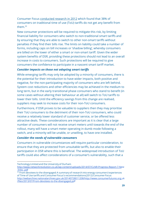Consumer Focus [conducted research in 2012](http://webarchive.nationalarchives.gov.uk/20140728011208/http://www.consumerfutures.org.uk/files/2013/07/From-devotees-to-the-disengaged.pdf) which found that 38% of consumers on traditional time of use (ToU) tariffs do not get any benefit from them.<sup>33</sup>

New consumer protections will be required to mitigate this risk, by limiting financial liability for consumers who switch to non-traditional smart tariffs and by ensuring that they are able to switch to other non-smart tariffs without penalties if they find their bills rise. The limits on liability could take a number of forms, including caps on bill increases or 'shadow billing', whereby consumers are billed on the lower of either a smart or non-smart tariff. Given the wider system benefits of DSR, providing these protections should not lead to an overall increase in costs to consumers. Such protections will be required to give consumers the confidence to participate in a nascent smart tariff market.

#### **Consider impacts on those not adopting smart tariffs**

While emerging tariffs may only be adopted by a minority of consumers, there is the potential for their introduction to have wider impacts, both positive and negative, for the non-participating majority of consumers who are left behind. System cost reductions and other efficiencies may be achieved in the medium to long term, but in the early transitional phase consumers who stand to benefit (in some cases without altering their behaviour at all) will switch to ToU tariffs to lower their bills. Until the efficiency savings from this change are realised, suppliers may seek to increase costs for their non-ToU consumers.

Furthermore, if DSR proves to be valuable to suppliers then they may prioritise their ToU consumers to the detriment of their non-ToU consumers, who could receive a relatively lower standard of customer service, or be offered less attractive deals. These considerations are important as it is clear that a large number of consumers will not receive smart meters until towards the end of the rollout, many will have a smart meter operating in dumb mode following a switch, and a minority will be unable, or unwilling, to have one installed.

#### *Consider the needs of vulnerable consumers*

Consumers in vulnerable circumstances will require particular consideration, to ensure that they are protected from unsuitable tariffs, but also to enable their participation in DSR where this is beneficial. The widespread introduction of ToU tariffs could also affect considerations of a consumer's vulnerability, such that a

Technology Limited and the University of Durham

[http://www.networkrevolution.co.uk/wp-content/uploads/2014/07/CLNR-Progress-Report-7-Ne](http://www.networkrevolution.co.uk/wp-content/uploads/2014/07/CLNR-Progress-Report-7-New-links-.pdf)w [-links-.pdf](http://www.networkrevolution.co.uk/wp-content/uploads/2014/07/CLNR-Progress-Report-7-New-links-.pdf)

 $33$  From devotees to the disengaged: A summary of research into energy consumers' experiences of Time of Use tariffs and Consumer Focus's recommendations (2012) Consumer Focus [http://webarchive.nationalarchives.gov.uk/20140728011208/http://www.consumerfutures.org.u](http://webarchive.nationalarchives.gov.uk/20140728011208/http://www.consumerfutures.org.uk/files/2013/07/From-devotees-to-the-disengaged.pdf)k [/les/2013/07/From-devotees-to-the-disengaged.pd](http://webarchive.nationalarchives.gov.uk/20140728011208/http://www.consumerfutures.org.uk/files/2013/07/From-devotees-to-the-disengaged.pdf)f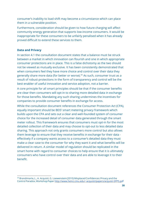consumer's inability to load shift may become a circumstance which can place them in a vulnerable position.

Furthermore, consideration should be given to how future charging will affect community energy generation that supports low-income consumers. It would be inappropriate for these consumers to be unfairly penalised when it has already proved difficult to extend these services to them.

#### **Data and Privacy**

In section 4.1 the consultation document states that a balance must be struck between a market in which innovation can flourish and one in which appropriate consumer protections are in place. This is a false dichotomy as the two should not be viewed as mutually exclusive. It has been consistently demonstrated that when consumers feel they have more choice and control over their data they generally share more data (for better or worse).<sup>34</sup> As such, consumer trust as a result of robust protections in the form of transparency and control will be the best enabler of useful innovation and service adoption, not a barrier.

A core principle for all smart principles should be that if the consumer benefits are clear then consumers will opt-in to sharing more detailed data in exchange for those benefits. Mandating any such sharing undermines the incentives for companies to provide consumer benefits in exchange for access.

While the consultation document references the Consumer Protection Act (CPA), equally important should be BEIS' smart metering privacy framework which builds upon the CPA and sets out a clear and well-founded system of consumer choice for the increased detail of consumer data generated through the smart meter rollout. This framework ensures that consumers must opt-in for the most detailed collection of their data and may choose to opt-out to less detailed data sharing. This approach not only grants consumers more control but also allows them leverage to ensure that they receive benefits in exchange for their data effectively if a company wants access to a consumer's detailed data they must make a clear case to the consumer for why they want it and what benefits will be delivered in return. A similar model of regulation should be replicated in the smart home with regard to consumer choices to help ensure that it is ultimately consumers who have control over their data and are able to leverage it to their benefit.

<sup>&</sup>lt;sup>34</sup> Brandimarte, L., A. Acquisti, G. Loewenstein (2010) Misplaced Confidences: Privacy and the Control Paradox, Workshop Paper [http://www.heinz.cmu.edu/~acquisti/papers/acquisti-SPPS.pd](http://www.heinz.cmu.edu/~acquisti/papers/acquisti-SPPS.pdf)f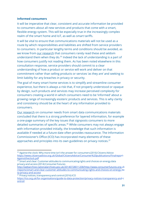#### **Informed consumers**

It will be imperative that clear, consistent and accurate information be provided to consumers about all new services and products that come with a smart, flexible energy system. This will be especially true in the increasingly complex realm of the smart home and IoT, as well as smart tariffs.

It will be vital to ensure that communications materials will not be used as a route by which responsibilities and liabilities are shifted from service providers to consumers. In particular lengthy terms and conditions should be avoided, as we know from [our research](http://webarchive.nationalarchives.gov.uk/20140728011208/http://www.consumerfutures.org.uk/reports/smart-and-clear-customer-attitudes-to-communicating-rights-and-choices-on-energy-data-privacy-and-access) that consumers rarely read these and seldom understand them when they do. $35$  Indeed the lack of understanding is a part of how consumers justify not reading them. As has been noted elsewhere in this consultation response, service providers should commit to a clear understanding of how a product or service will work and deliver on that commitment rather than selling products or services 'as they are' and seeking to limit liability for any breaches in privacy or security.

The goal of many smart home services is to simplify and streamline consumer experience, but there is always a risk that, if not properly understood or opaque by design, such products and services may increase perceived complexity for consumers creating a world in which consumers need to be 'informed' about a growing range of increasingly esoteric products and services. This is why clarity and consistency should be at the heart of any information provided to consumers.

[Our research](http://webarchive.nationalarchives.gov.uk/20140728011208/http://www.consumerfutures.org.uk/reports/smart-and-clear-customer-attitudes-to-communicating-rights-and-choices-on-energy-data-privacy-and-access) on consumer needs from smart data communications materials concluded that there is a strong preference for layered information, for example a one-page summary of the key issues that signposts consumers to more detailed summaries of specific areas.<sup>36</sup> While consumers may not always engage with information provided initially, the knowledge that such information is available if needed at a future date often provides reassurance. The Information Commissioner's Office (ICO) has incorporated many elements of these approaches and principles into its own guidelines on privacy notices.<sup>37</sup>

<sup>&</sup>lt;sup>35</sup> Against the clock: Why more time isn't the answer for consumers (2016) Citizens Advice [https://www.citizensadvice.org.uk/Global/CitizensAdvice/Consumer%20publications/Finalrepo](https://www.citizensadvice.org.uk/Global/CitizensAdvice/Consumer%20publications/Finalreport-Againsttheclock.pdf)rt-[Againsttheclock.pdf](https://www.citizensadvice.org.uk/Global/CitizensAdvice/Consumer%20publications/Finalreport-Againsttheclock.pdf)

<sup>&</sup>lt;sup>36</sup> Smart and clear: Customer attitudes to communicatingrights and choices on energy data privacy and access (2014) Consumer Futures

[http://webarchive.nationalarchives.gov.uk/20140728011208/http://www.consumerfutures.org.u](http://webarchive.nationalarchives.gov.uk/20140728011208/http://www.consumerfutures.org.uk/reports/smart-and-clear-customer-attitudes-to-communicating-rights-and-choices-on-energy-data-privacy-and-access)k [/reports/smart-and-clear-customer-attitudes-to-communicating-rights-and-choices-on-energy-d](http://webarchive.nationalarchives.gov.uk/20140728011208/http://www.consumerfutures.org.uk/reports/smart-and-clear-customer-attitudes-to-communicating-rights-and-choices-on-energy-data-privacy-and-access)a [ta-privacy-and-access](http://webarchive.nationalarchives.gov.uk/20140728011208/http://www.consumerfutures.org.uk/reports/smart-and-clear-customer-attitudes-to-communicating-rights-and-choices-on-energy-data-privacy-and-access)

<sup>&</sup>lt;sup>37</sup> Privacy notices, transparency and control (2016) ICO [https://ico.org.uk/for-organisations/guide-to-data-protection/privacy-notices-transparency-and](https://ico.org.uk/for-organisations/guide-to-data-protection/privacy-notices-transparency-and-control/)-c [ontrol/](https://ico.org.uk/for-organisations/guide-to-data-protection/privacy-notices-transparency-and-control/)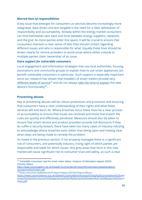#### *Blurred lines of responsibilities*

A key issue that emerges for consumers as services become increasingly more integrated, data driven and less tangible is the need for a clear delineation of responsibility and accountability. Already within the energy market consumers can find themselves sent back and forth between energy suppliers, networks and the grid. As more parties enter this space, it will be crucial to ensure that consumers maintain a clear sense of who they should contact regarding different issues and who is responsible for what. Equally these lines should be drawn clearly for service providers to avoid areas where either nobody or multiple parties claim 'ownership' of an issue.

#### *Extra support for vulnerable consumers*

Local engagement and information strategies that use local authorities, housing associations and community groups to explain how to use smart appliances can benefit vulnerable consumers in particular. Such support is especially important since our research has shown that installers of smart meters provide very different levels of service<sup>38</sup> and do not always <u>take the time to explain</u> the new device's functionality<sup>39</sup>.

#### **Preventing abuses**

Key to preventing abuses will be robust protections and processes and ensuring that consumers have a clear understanding of their rights and what these services will and won't do. Where breaches occur there must be a clear process of accountability to ensure that issues are resolved and those that breach the rules are quickly and effectively penalised. Measures should also be taken to ensure that smart service and product providers provide full disclosure if they do suffer a security breach, there have been too many cases of industry refusing to acknowledge where breaches exist rather than being open and making clear what steps are being made to remedy the problem.

As noted in the previous section, if not properly managed there is a significant risk of consumers, and potentially industry, losing sight of which parties are responsible and liable for which issues. Any grey areas that form in this new market will cause significant risk to consumer trust and safety, as such a clear

<sup>&</sup>lt;sup>38</sup> Vulnerable consumers and the smart meter rollout: Analysis of information request (2015) Citizens Advice

[https://www.citizensadvice.org.uk/Global/CitizensAdvice/Energy/IRsmartmetersandvulnerableco](https://www.citizensadvice.org.uk/Global/CitizensAdvice/Energy/IRsmartmetersandvulnerableconsumers%20(1)%20(1).pdf) [nsumers%20\(1\)%20\(1\).pdf](https://www.citizensadvice.org.uk/Global/CitizensAdvice/Energy/IRsmartmetersandvulnerableconsumers%20(1)%20(1).pdf)

<sup>&</sup>lt;sup>39</sup> Early consumer experiences of smart meters (2016) Citizens Advice [https://www.citizensadvice.org.uk/Global/CitizensAdvice/Energy/Energy%20Consultation%20res](https://www.citizensadvice.org.uk/Global/CitizensAdvice/Energy/Energy%20Consultation%20responses/Early%20consumer%20experiences%20of%20smart%20meters%20-%20Research%20summary.pdf)p [onses/Early%20consumer%20experiences%20of%20smart%20meters%20-%20Research%20su](https://www.citizensadvice.org.uk/Global/CitizensAdvice/Energy/Energy%20Consultation%20responses/Early%20consumer%20experiences%20of%20smart%20meters%20-%20Research%20summary.pdf)m [mary.pdf](https://www.citizensadvice.org.uk/Global/CitizensAdvice/Energy/Energy%20Consultation%20responses/Early%20consumer%20experiences%20of%20smart%20meters%20-%20Research%20summary.pdf)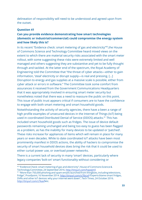delineation of responsibility will need to be understood and agreed upon from the outset.

#### <span id="page-33-0"></span>**Question 41**

#### **Can you provide evidence demonstrating how smart technologies (domestic or industrial/commercial) could compromise the energy system and how likely this is?**

In its recent "Evidence check: smart metering of gas and electricity"<sup>40</sup>, the House of Commons Science and Technology Committee heard mixed views on the extent to which there are material security risks associated with the smart meter rollout, with some suggesting these risks were extremely limited and well managed and others suggesting they are substantive and yet to be fully thought through and tackled. At the latter end of the spectrum, the Royal Academy of Engineering told the Committee that "the threat of cyber attacks—either to gain information, 'steal' electricity or disrupt supply—is real and pressing. […] Disruption to energy and gas supplies at a massive scale is possible, either from cyber attack or errors in software." The Committee took some comfort from assurances it received from the Government Communications Headquarters that it was appropriately involved in ensuring smart meter security but nonetheless noted that there was a need to reassure the public on this point. This issue of public trust appears critical if consumers are to have the confidence to engage with both smart metering and smart household goods.

Notwithstanding the activity of security agencies, there have a been a range of high profile examples of unsecured devices in the Internet of Things (IoT) being used in coordinated Distributed Denial of Service (DDOS) attacks.<sup>41</sup> This has included smart household goods such as fridges. The issue of device default passwords remaining unchanged and being too easy to guess has been flagged as a problem, as has the inability for many devices to be updated or 'patched'. These risks increase for appliances of items which will remain in place for many years or even decades. While to date coordinated IoT attacks have been most prominently manifest in DDOS actions, the ability of hackers to compromise the security of smart household devices does bring the risk that it could be used to either curtail power use, or overload power networks.

There is a current lack of security in many 'smart' devices, particularly where legacy companies 'bolt-on' smart functionality without considering or

 $^{40}$  "Evidence Check: smart metering of gas and electricity", House of Commons Science & Technology Committee, 24 September 2016.<http://tinyurl.com/hqxejm5>

 $41$  "More than 750,000 phishing and spam emails launched from thingbots, including televisions, fridge", Proofpoint, 16 November 2014.<http://tinyurl.com/o78zcxh> "Experts blame smart fridges, DVRs and other IoT devices: why your internet went down", Tech Times, 24 October 2016. [http://tinyurl.com/z7kax](http://tinyurl.com/z7kaxfl)fletc.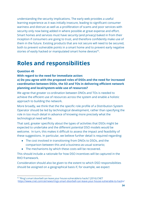understanding the security implications. The early web provides a useful learning experience as it was initially insecure, leading to significant consumer wariness and distrust as well as a proliferation of scams and poor services with security only now being added in where possible at great expense and effort. Smart homes and services must have security (and privacy) baked in from their inception if consumers are going to trust, and therefore confidently make use of them in the future. Existing products that are not secure will need to be secured, both to prevent vulnerable points in a smart home and to prevent early negative stories of easily hacked or manipulated smart home devices $42$ .

### <span id="page-34-0"></span>**Roles and responsibilities**

#### <span id="page-34-1"></span>**Question 45**

**With regard to the need for immediate action:**

**a) Do you agree with the proposed roles of DSOs and the need for increased coordination between DSOs, the SO and TOs in delivering efficient network planning and local/system-wide use of resources?**

We agree that greater co-ordination between DNOs and TOs is needed to achieve the efficient use of resources across the system and enable a holistic approach to building the network.

More broadly, we think that the the specific role profile of a Distribution System Operator should be led by technological development, rather than specifying the role in too much detail in advance of knowing more precisely what the technological need will be.

That said, greater specificity about the types of activities that DSOs might be expected to undertake and the different potential DSO models would be welcome. In turn, this makes it difficult to assess the impact and feasibility of these suggestions. In particular, we believe further detail is required regarding:

- The cost involved in transitioning from DNOs to DSOs, and the comparison between this and a business-as-usual scenario;
- The mechanisms by which these costs will be recovered.

This should include a rationale for how DSO incentives will be captured in the RIIO framework.

Consideration should also be given to the extent to which DSO responsibilities should be assigned on a geographical basis if, for example, we expect

<sup>&</sup>lt;sup>42</sup> "Ring's smart doorbell can leave your house vulnerable to hacks" (2016) CNET  [https://www.cnet.com/uk/news/rings-smart-doorbell-can-leave-your-house-vulnerable-to-hack](https://www.cnet.com/uk/news/rings-smart-doorbell-can-leave-your-house-vulnerable-to-hacks/)s/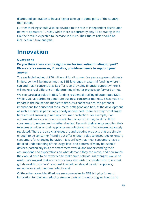distributed generation to have a higher take up in some parts of the country than others.

Further thinking should also be devoted to the role of independent distribution network operators (IDNOs). While there are currently only 14 operating in the UK, their role is expected to increase in future. Their future role should be included in future analysis.

### <span id="page-35-0"></span>**Innovation**

#### <span id="page-35-1"></span>**Question 48**

#### **Do you think these are the right areas for innovation funding support? Please state reasons or, if possible, provide evidence to support your answer**

The available budget of £50 million of funding over five years appears relatively limited, so it will be important that BEIS leverages in external funding where it can and that it concentrates its efforts on providing financial support where it will make a real difference in determining whether projects go forward or not.

We see particular value in BEIS funding residential trialling of automated DSR. While DSR has started to penetrate business consumer markets, it has made no impact in the household market to date. As a consequence, the potential implications for household consumers, both good and bad, of the development of such a market is particularly poorly understood. There are major challenges here around ensuring joined up consumer protection. For example, if an automated device is erroneously switched on or off, it may be difficult for consumers to understand whether the fault lies with their energy supplier, their telecoms provider or their appliance manufacturer - all of whom are separately regulated. There are also challenges around creating products that are simple enough to be consumer friendly but offer enough value to encourage or reward consumers for changing behaviour. It is unlikely that most consumers have a detailed understanding of the usage level and pattern of many household devices, particularly in a pre smart meter world, and understanding their assumptions and expectations on what demand they can move, and how much they would need to be rewarded to make such behavioural changes, would be useful. We suggest that such a study may also wish to consider who in a smart goods world customers' relationship would or should be with: suppliers, networks or equipment manufacturers?

Of the other areas identified, we see some value in BEIS bringing forward innovation funding on reducing storage costs and conducting vehicle to grid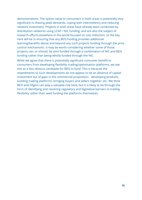demonstrations. The option value to consumers in both areas is potentially very significant in shaving peak demands, coping with intermittency and reducing network investment. Projects in both areas have already been conducted by distribution networks using LCNF / NIC funding, and are also the subject of research efforts elsewhere in the world focused on cost reduction, so the key here will be in ensuring that any BEIS funding provides additional learning/benefits above and beyond any such projects funding through the price control mechanisms. It may be worth considering whether some of those projects can, or should, be joint funded through a combination of NIC and BEIS funding rather than being wholly funded through the NIC.

While we agree that there is potentially significant consumer benefit to consumers from developing flexibility trading/optimisation platforms, we see this as a less obvious candidate for BEIS to fund. This is because the impediments to such developments do not appear to be an absence of capital investment but of gaps in the commercial proposition - developing products, building trading platforms, bringing buyers and sellers together, etc. We think BEIS and Ofgem can play a valuable role here, but it is likely to be through the form of identifying and resolving regulatory and legislative barriers to trading flexibility rather than seed funding the platforms themselves.